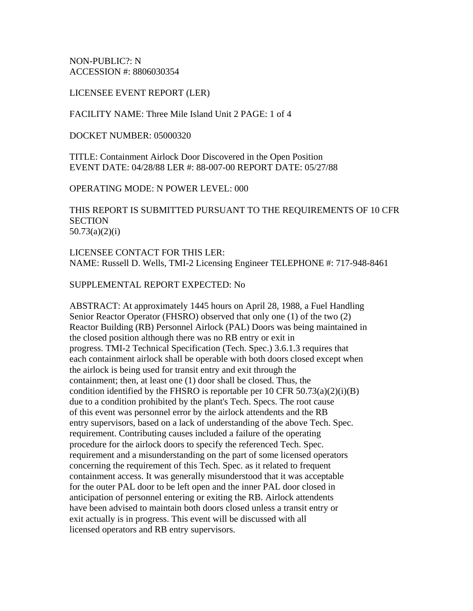NON-PUBLIC?: N ACCESSION #: 8806030354

LICENSEE EVENT REPORT (LER)

FACILITY NAME: Three Mile Island Unit 2 PAGE: 1 of 4

DOCKET NUMBER: 05000320

TITLE: Containment Airlock Door Discovered in the Open Position EVENT DATE: 04/28/88 LER #: 88-007-00 REPORT DATE: 05/27/88

OPERATING MODE: N POWER LEVEL: 000

THIS REPORT IS SUBMITTED PURSUANT TO THE REQUIREMENTS OF 10 CFR **SECTION** 50.73(a)(2)(i)

LICENSEE CONTACT FOR THIS LER: NAME: Russell D. Wells, TMI-2 Licensing Engineer TELEPHONE #: 717-948-8461

## SUPPLEMENTAL REPORT EXPECTED: No

ABSTRACT: At approximately 1445 hours on April 28, 1988, a Fuel Handling Senior Reactor Operator (FHSRO) observed that only one (1) of the two (2) Reactor Building (RB) Personnel Airlock (PAL) Doors was being maintained in the closed position although there was no RB entry or exit in progress. TMI-2 Technical Specification (Tech. Spec.) 3.6.1.3 requires that each containment airlock shall be operable with both doors closed except when the airlock is being used for transit entry and exit through the containment; then, at least one (1) door shall be closed. Thus, the condition identified by the FHSRO is reportable per 10 CFR  $50.73(a)(2)(i)(B)$ due to a condition prohibited by the plant's Tech. Specs. The root cause of this event was personnel error by the airlock attendents and the RB entry supervisors, based on a lack of understanding of the above Tech. Spec. requirement. Contributing causes included a failure of the operating procedure for the airlock doors to specify the referenced Tech. Spec. requirement and a misunderstanding on the part of some licensed operators concerning the requirement of this Tech. Spec. as it related to frequent containment access. It was generally misunderstood that it was acceptable for the outer PAL door to be left open and the inner PAL door closed in anticipation of personnel entering or exiting the RB. Airlock attendents have been advised to maintain both doors closed unless a transit entry or exit actually is in progress. This event will be discussed with all licensed operators and RB entry supervisors.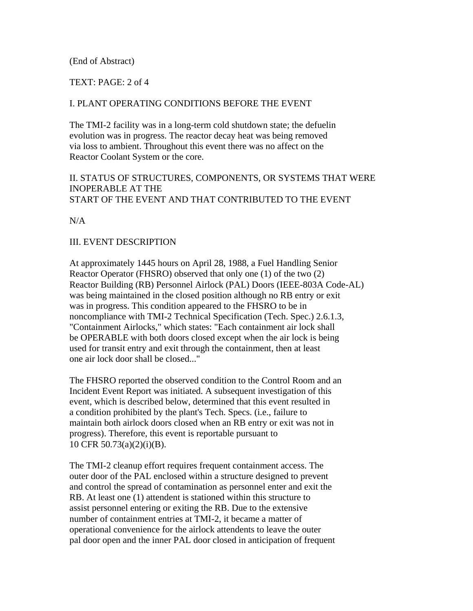## (End of Abstract)

### TEXT: PAGE: 2 of 4

### I. PLANT OPERATING CONDITIONS BEFORE THE EVENT

The TMI-2 facility was in a long-term cold shutdown state; the defuelin evolution was in progress. The reactor decay heat was being removed via loss to ambient. Throughout this event there was no affect on the Reactor Coolant System or the core.

# II. STATUS OF STRUCTURES, COMPONENTS, OR SYSTEMS THAT WERE INOPERABLE AT THE START OF THE EVENT AND THAT CONTRIBUTED TO THE EVENT

N/A

#### III. EVENT DESCRIPTION

At approximately 1445 hours on April 28, 1988, a Fuel Handling Senior Reactor Operator (FHSRO) observed that only one (1) of the two (2) Reactor Building (RB) Personnel Airlock (PAL) Doors (IEEE-803A Code-AL) was being maintained in the closed position although no RB entry or exit was in progress. This condition appeared to the FHSRO to be in noncompliance with TMI-2 Technical Specification (Tech. Spec.) 2.6.1.3, "Containment Airlocks," which states: "Each containment air lock shall be OPERABLE with both doors closed except when the air lock is being used for transit entry and exit through the containment, then at least one air lock door shall be closed..."

The FHSRO reported the observed condition to the Control Room and an Incident Event Report was initiated. A subsequent investigation of this event, which is described below, determined that this event resulted in a condition prohibited by the plant's Tech. Specs. (i.e., failure to maintain both airlock doors closed when an RB entry or exit was not in progress). Therefore, this event is reportable pursuant to 10 CFR 50.73(a)(2)(i)(B).

The TMI-2 cleanup effort requires frequent containment access. The outer door of the PAL enclosed within a structure designed to prevent and control the spread of contamination as personnel enter and exit the RB. At least one (1) attendent is stationed within this structure to assist personnel entering or exiting the RB. Due to the extensive number of containment entries at TMI-2, it became a matter of operational convenience for the airlock attendents to leave the outer pal door open and the inner PAL door closed in anticipation of frequent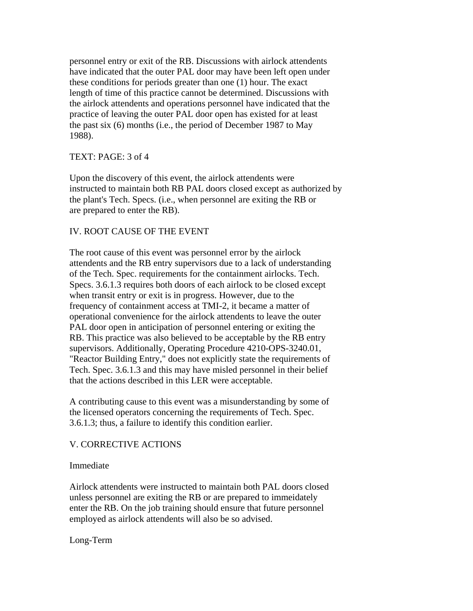personnel entry or exit of the RB. Discussions with airlock attendents have indicated that the outer PAL door may have been left open under these conditions for periods greater than one (1) hour. The exact length of time of this practice cannot be determined. Discussions with the airlock attendents and operations personnel have indicated that the practice of leaving the outer PAL door open has existed for at least the past six (6) months (i.e., the period of December 1987 to May 1988).

#### TEXT: PAGE: 3 of 4

Upon the discovery of this event, the airlock attendents were instructed to maintain both RB PAL doors closed except as authorized by the plant's Tech. Specs. (i.e., when personnel are exiting the RB or are prepared to enter the RB).

## IV. ROOT CAUSE OF THE EVENT

The root cause of this event was personnel error by the airlock attendents and the RB entry supervisors due to a lack of understanding of the Tech. Spec. requirements for the containment airlocks. Tech. Specs. 3.6.1.3 requires both doors of each airlock to be closed except when transit entry or exit is in progress. However, due to the frequency of containment access at TMI-2, it became a matter of operational convenience for the airlock attendents to leave the outer PAL door open in anticipation of personnel entering or exiting the RB. This practice was also believed to be acceptable by the RB entry supervisors. Additionally, Operating Procedure 4210-OPS-3240.01, "Reactor Building Entry," does not explicitly state the requirements of Tech. Spec. 3.6.1.3 and this may have misled personnel in their belief that the actions described in this LER were acceptable.

A contributing cause to this event was a misunderstanding by some of the licensed operators concerning the requirements of Tech. Spec. 3.6.1.3; thus, a failure to identify this condition earlier.

## V. CORRECTIVE ACTIONS

#### Immediate

Airlock attendents were instructed to maintain both PAL doors closed unless personnel are exiting the RB or are prepared to immeidately enter the RB. On the job training should ensure that future personnel employed as airlock attendents will also be so advised.

Long-Term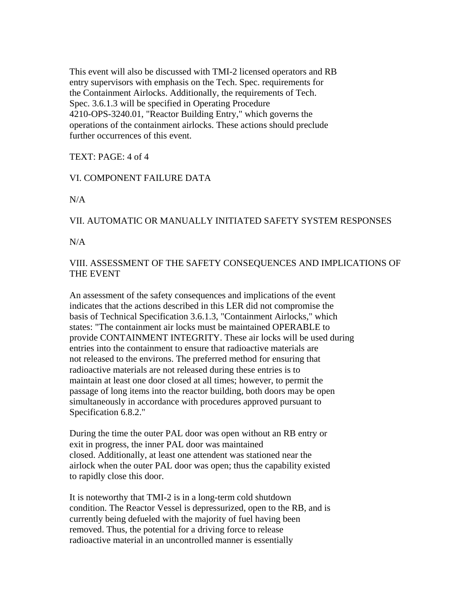This event will also be discussed with TMI-2 licensed operators and RB entry supervisors with emphasis on the Tech. Spec. requirements for the Containment Airlocks. Additionally, the requirements of Tech. Spec. 3.6.1.3 will be specified in Operating Procedure 4210-OPS-3240.01, "Reactor Building Entry," which governs the operations of the containment airlocks. These actions should preclude further occurrences of this event.

TEXT: PAGE: 4 of 4

# VI. COMPONENT FAILURE DATA

N/A

## VII. AUTOMATIC OR MANUALLY INITIATED SAFETY SYSTEM RESPONSES

N/A

VIII. ASSESSMENT OF THE SAFETY CONSEQUENCES AND IMPLICATIONS OF THE EVENT

An assessment of the safety consequences and implications of the event indicates that the actions described in this LER did not compromise the basis of Technical Specification 3.6.1.3, "Containment Airlocks," which states: "The containment air locks must be maintained OPERABLE to provide CONTAINMENT INTEGRITY. These air locks will be used during entries into the containment to ensure that radioactive materials are not released to the environs. The preferred method for ensuring that radioactive materials are not released during these entries is to maintain at least one door closed at all times; however, to permit the passage of long items into the reactor building, both doors may be open simultaneously in accordance with procedures approved pursuant to Specification 6.8.2."

During the time the outer PAL door was open without an RB entry or exit in progress, the inner PAL door was maintained closed. Additionally, at least one attendent was stationed near the airlock when the outer PAL door was open; thus the capability existed to rapidly close this door.

It is noteworthy that TMI-2 is in a long-term cold shutdown condition. The Reactor Vessel is depressurized, open to the RB, and is currently being defueled with the majority of fuel having been removed. Thus, the potential for a driving force to release radioactive material in an uncontrolled manner is essentially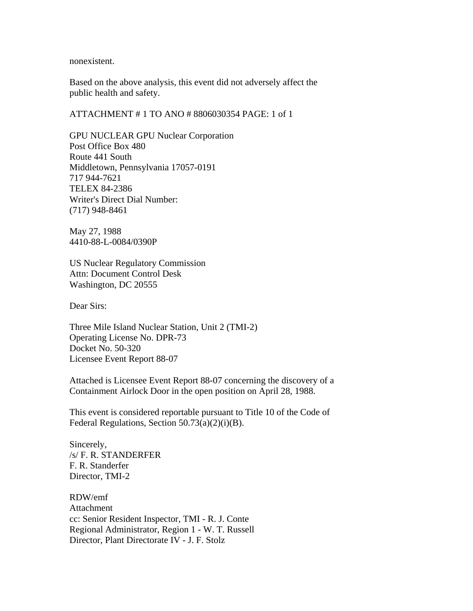nonexistent.

Based on the above analysis, this event did not adversely affect the public health and safety.

ATTACHMENT # 1 TO ANO # 8806030354 PAGE: 1 of 1

GPU NUCLEAR GPU Nuclear Corporation Post Office Box 480 Route 441 South Middletown, Pennsylvania 17057-0191 717 944-7621 TELEX 84-2386 Writer's Direct Dial Number: (717) 948-8461

May 27, 1988 4410-88-L-0084/0390P

US Nuclear Regulatory Commission Attn: Document Control Desk Washington, DC 20555

Dear Sirs:

Three Mile Island Nuclear Station, Unit 2 (TMI-2) Operating License No. DPR-73 Docket No. 50-320 Licensee Event Report 88-07

Attached is Licensee Event Report 88-07 concerning the discovery of a Containment Airlock Door in the open position on April 28, 1988.

This event is considered reportable pursuant to Title 10 of the Code of Federal Regulations, Section 50.73(a)(2)(i)(B).

Sincerely, /s/ F. R. STANDERFER F. R. Standerfer Director, TMI-2

RDW/emf Attachment cc: Senior Resident Inspector, TMI - R. J. Conte Regional Administrator, Region 1 - W. T. Russell Director, Plant Directorate IV - J. F. Stolz